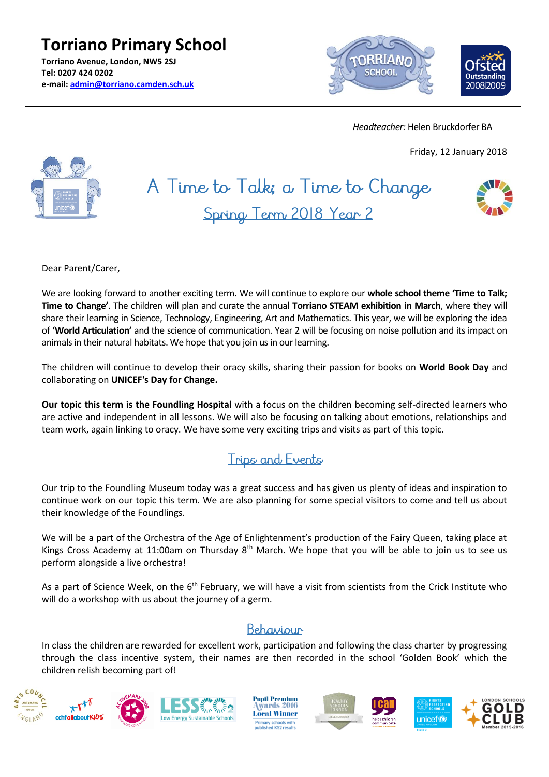**Torriano Primary School Torriano Avenue, London, NW5 2SJ Tel: 0207 424 0202 e-mail: [admin@torriano.camden.sch.uk](mailto:admin@torriano.camden.sch.uk)**



 *Headteacher:* Helen Bruckdorfer BA

Friday, 12 January 2018



A Time to Talk; a Time to Change Spring Term 2018 Year 2



Dear Parent/Carer,

We are looking forward to another exciting term. We will continue to explore our **whole school theme 'Time to Talk; Time to Change'**. The children will plan and curate the annual **Torriano STEAM exhibition in March**, where they will share their learning in Science, Technology, Engineering, Art and Mathematics. This year, we will be exploring the idea of **'World Articulation'** and the science of communication. Year 2 will be focusing on noise pollution and its impact on animals in their natural habitats. We hope that you join us in our learning.

The children will continue to develop their oracy skills, sharing their passion for books on **World Book Day** and collaborating on **UNICEF's Day for Change.**

**Our topic this term is the Foundling Hospital** with a focus on the children becoming self-directed learners who are active and independent in all lessons. We will also be focusing on talking about emotions, relationships and team work, again linking to oracy. We have some very exciting trips and visits as part of this topic.

## Trips and Events

Our trip to the Foundling Museum today was a great success and has given us plenty of ideas and inspiration to continue work on our topic this term. We are also planning for some special visitors to come and tell us about their knowledge of the Foundlings.

We will be a part of the Orchestra of the Age of Enlightenment's production of the Fairy Queen, taking place at Kings Cross Academy at 11:00am on Thursday  $8<sup>th</sup>$  March. We hope that you will be able to join us to see us perform alongside a live orchestra!

As a part of Science Week, on the 6<sup>th</sup> February, we will have a visit from scientists from the Crick Institute who will do a workshop with us about the journey of a germ.

## Behaviour

In class the children are rewarded for excellent work, participation and following the class charter by progressing through the class incentive system, their names are then recorded in the school 'Golden Book' which the children relish becoming part of!







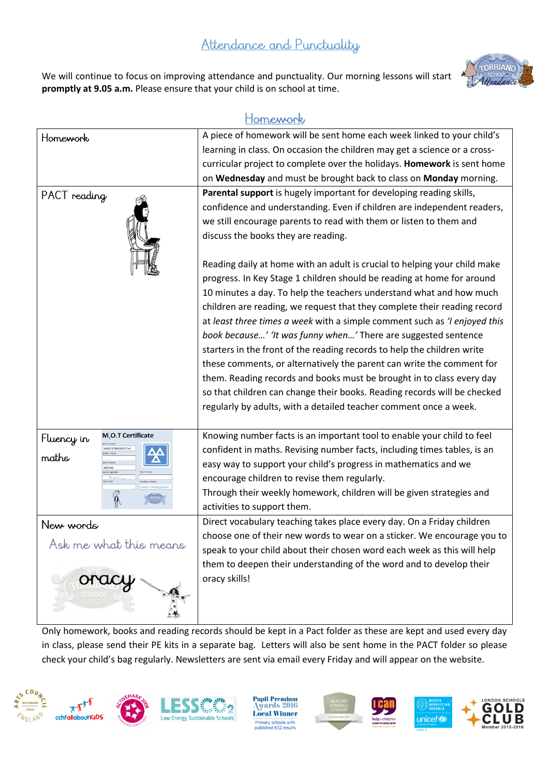## Attendance and Punctuality

We will continue to focus on improving attendance and punctuality. Our morning lessons will start **promptly at 9.05 a.m.** Please ensure that your child is on school at time.



| Homework                        | A piece of homework will be sent home each week linked to your child's                                          |
|---------------------------------|-----------------------------------------------------------------------------------------------------------------|
|                                 | learning in class. On occasion the children may get a science or a cross-                                       |
|                                 | curricular project to complete over the holidays. Homework is sent home                                         |
|                                 | on Wednesday and must be brought back to class on Monday morning.                                               |
| PACT reading                    | Parental support is hugely important for developing reading skills,                                             |
|                                 | confidence and understanding. Even if children are independent readers,                                         |
|                                 | we still encourage parents to read with them or listen to them and                                              |
|                                 | discuss the books they are reading.                                                                             |
|                                 | Reading daily at home with an adult is crucial to helping your child make                                       |
|                                 | progress. In Key Stage 1 children should be reading at home for around                                          |
|                                 | 10 minutes a day. To help the teachers understand what and how much                                             |
|                                 | children are reading, we request that they complete their reading record                                        |
|                                 | at least three times a week with a simple comment such as 'I enjoyed this                                       |
|                                 | book because' 'It was funny when' There are suggested sentence                                                  |
|                                 | starters in the front of the reading records to help the children write                                         |
|                                 | these comments, or alternatively the parent can write the comment for                                           |
|                                 | them. Reading records and books must be brought in to class every day                                           |
|                                 | so that children can change their books. Reading records will be checked                                        |
|                                 | regularly by adults, with a detailed teacher comment once a week.                                               |
| M, O.T Certificate              |                                                                                                                 |
| Fluency in<br>569973799092017x0 | Knowing number facts is an important tool to enable your child to feel                                          |
| maths                           | confident in maths. Revising number facts, including times tables, is an                                        |
| dd'em                           | easy way to support your child's progress in mathematics and we<br>encourage children to revise them regularly. |
|                                 | Through their weekly homework, children will be given strategies and                                            |
| $\hat{\delta}$                  | activities to support them.                                                                                     |
|                                 | Direct vocabulary teaching takes place every day. On a Friday children                                          |
| New words                       | choose one of their new words to wear on a sticker. We encourage you to                                         |
| Ask me what this means          | speak to your child about their chosen word each week as this will help                                         |
|                                 | them to deepen their understanding of the word and to develop their                                             |
|                                 | oracy skills!                                                                                                   |
|                                 |                                                                                                                 |
|                                 |                                                                                                                 |
|                                 |                                                                                                                 |

### Hamewark,

Only homework, books and reading records should be kept in a Pact folder as these are kept and used every day in class, please send their PE kits in a separate bag. Letters will also be sent home in the PACT folder so please check your child's bag regularly. Newsletters are sent via email every Friday and will appear on the website.







**Pupil Premium** wards 2016 **Local Winner** Primary schools with<br>published KS2 results